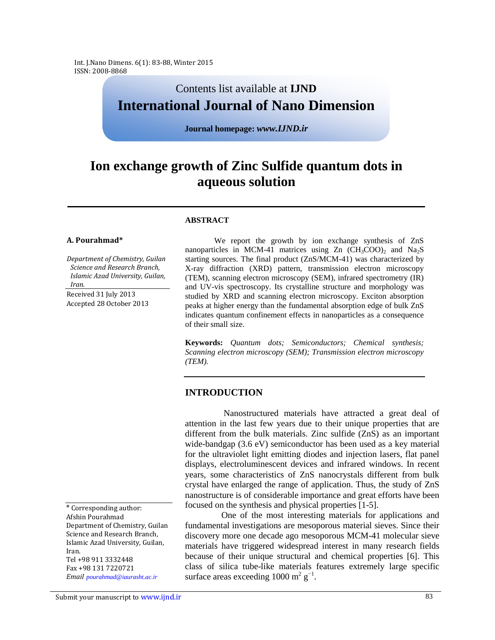# Contents list available at **IJND International Journal of Nano Dimension**

**Journal homepage:** *www.IJND.ir*

# **Ion exchange growth of Zinc Sulfide quantum dots in aqueous solution**

#### **ABSTRACT**

#### **A. Pourahmad\***

*Department of Chemistry, Guilan Science and Research Branch, Islamic Azad University, Guilan, Iran.*

Received 31 July 2013 Accepted 28 October 2013

We report the growth by ion exchange synthesis of ZnS nanoparticles in MCM-41 matrices using  $Zn$  (CH<sub>3</sub>COO)<sub>2</sub> and Na<sub>2</sub>S starting sources. The final product (ZnS/MCM-41) was characterized by X-ray diffraction (XRD) pattern, transmission electron microscopy (TEM), scanning electron microscopy (SEM), infrared spectrometry (IR) and UV-vis spectroscopy. Its crystalline structure and morphology was studied by XRD and scanning electron microscopy. Exciton absorption peaks at higher energy than the fundamental absorption edge of bulk ZnS indicates quantum confinement effects in nanoparticles as a consequence of their small size.

**Keywords:** *Quantum dots; Semiconductors; Chemical synthesis; Scanning electron microscopy (SEM); Transmission electron microscopy (TEM).*

## **INTRODUCTION**

Nanostructured materials have attracted a great deal of attention in the last few years due to their unique properties that are different from the bulk materials. Zinc sulfide (ZnS) as an important wide-bandgap (3.6 eV) semiconductor has been used as a key material for the ultraviolet light emitting diodes and injection lasers, flat panel displays, electroluminescent devices and infrared windows. In recent years, some characteristics of ZnS nanocrystals different from bulk crystal have enlarged the range of application. Thus, the study of ZnS nanostructure is of considerable importance and great efforts have been focused on the synthesis and physical properties [1-5].

One of the most interesting materials for applications and fundamental investigations are mesoporous material sieves. Since their discovery more one decade ago mesoporous MCM-41 molecular sieve materials have triggered widespread interest in many research fields because of their unique structural and chemical properties [6]. This class of silica tube-like materials features extremely large specific surface areas exceeding  $1000 \text{ m}^2 \text{ g}^{-1}$ .

\* Corresponding author: Afshin Pourahmad Department of Chemistry, Guilan Science and Research Branch, Islamic Azad University, Guilan, Iran. Tel +98 911 3332448 Fax +98 131 7220721 *Email pourahmad@iaurasht.ac.ir* 

Submit your manuscript to www.ijnd.ir and the state of the state of the state of the state of the state of the state of the state of the state of the state of the state of the state of the state of the state of the state o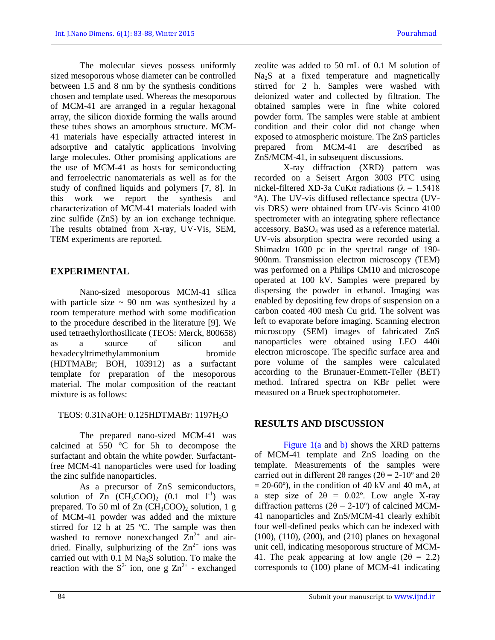The molecular sieves possess uniformly sized mesoporous whose diameter can be controlled between 1.5 and 8 nm by the synthesis conditions chosen and template used. Whereas the mesoporous of MCM-41 are arranged in a regular hexagonal array, the silicon dioxide forming the walls around these tubes shows an amorphous structure. MCM-41 materials have especially attracted interest in adsorptive and catalytic applications involving large molecules. Other promising applications are the use of MCM-41 as hosts for semiconducting and ferroelectric nanomaterials as well as for the study of confined liquids and polymers [7, 8]. In this work we report the synthesis and characterization of MCM-41 materials loaded with zinc sulfide (ZnS) by an ion exchange technique. The results obtained from X-ray, UV-Vis, SEM, TEM experiments are reported.

# **EXPERIMENTAL**

Nano-sized mesoporous MCM-41 silica with particle size  $\sim$  90 nm was synthesized by a room temperature method with some modification to the procedure described in the literature [9]. We used tetraethylorthosilicate (TEOS: Merck, 800658) as a source of silicon and hexadecyltrimethylammonium bromide (HDTMABr; BOH, 103912) as a surfactant template for preparation of the mesoporous material. The molar composition of the reactant mixture is as follows:

## TEOS: 0.31NaOH: 0.125HDTMABr: 1197H<sub>2</sub>O

The prepared nano-sized MCM-41 was calcined at 550 °C for 5h to decompose the surfactant and obtain the white powder. Surfactantfree MCM-41 nanoparticles were used for loading the zinc sulfide nanoparticles.

As a precursor of ZnS semiconductors, solution of  $\overline{Z}$ n (CH<sub>3</sub>COO)<sub>2</sub> (0.1 mol l<sup>-1</sup>) was prepared. To 50 ml of  $Zn$  (CH<sub>3</sub>COO)<sub>2</sub> solution, 1 g of MCM-41 powder was added and the mixture stirred for 12 h at 25 ºC. The sample was then washed to remove nonexchanged  $Zn^{2+}$  and airdried. Finally, sulphurizing of the  $Zn^{2+}$  ions was carried out with  $0.1 M Na<sub>2</sub>S$  solution. To make the reaction with the  $S^2$  ion, one g  $Zn^{2+}$  - exchanged zeolite was added to 50 mL of 0.1 M solution of Na2S at a fixed temperature and magnetically stirred for 2 h. Samples were washed with deionized water and collected by filtration. The obtained samples were in fine white colored powder form. The samples were stable at ambient condition and their color did not change when exposed to atmospheric moisture. The ZnS particles prepared from MCM-41 are described as ZnS/MCM-41, in subsequent discussions.

X-ray diffraction (XRD) pattern was recorded on a Seisert Argon 3003 PTC using nickel-filtered XD-3a CuKα radiations ( $\lambda = 1.5418$ ) ºA). The UV-vis diffused reflectance spectra (UVvis DRS) were obtained from UV-vis Scinco 4100 spectrometer with an integrating sphere reflectance accessory. BaSO<sup>4</sup> was used as a reference material. UV-vis absorption spectra were recorded using a Shimadzu 1600 pc in the spectral range of 190- 900nm. Transmission electron microscopy (TEM) was performed on a Philips CM10 and microscope operated at 100 kV. Samples were prepared by dispersing the powder in ethanol. Imaging was enabled by depositing few drops of suspension on a carbon coated 400 mesh Cu grid. The solvent was left to evaporate before imaging. Scanning electron microscopy (SEM) images of fabricated ZnS nanoparticles were obtained using LEO 440i electron microscope. The specific surface area and pore volume of the samples were calculated according to the Brunauer-Emmett-Teller (BET) method. Infrared spectra on KBr pellet were measured on a Bruek spectrophotometer.

## **RESULTS AND DISCUSSION**

Figure 1(a and b) shows the XRD patterns of MCM-41 template and ZnS loading on the template. Measurements of the samples were carried out in different 2θ ranges ( $2\theta = 2-10^{\circ}$  and  $2\theta$ )  $= 20-60^{\circ}$ ), in the condition of 40 kV and 40 mA, at a step size of  $2\theta = 0.02^{\circ}$ . Low angle X-ray diffraction patterns ( $2\theta = 2{\text -}10^{\circ}$ ) of calcined MCM-41 nanoparticles and ZnS/MCM-41 clearly exhibit four well-defined peaks which can be indexed with (100), (110), (200), and (210) planes on hexagonal unit cell, indicating mesoporous structure of MCM-41. The peak appearing at low angle  $(2\theta = 2.2)$ corresponds to (100) plane of MCM-41 indicating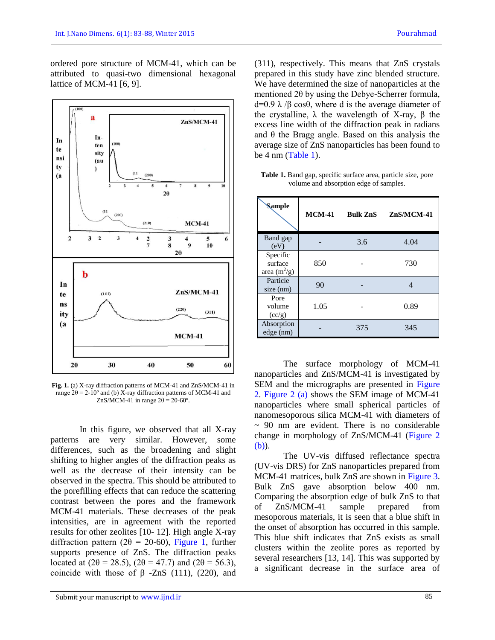ordered pore structure of MCM-41, which can be attributed to quasi-two dimensional hexagonal lattice of MCM-41 [6, 9].



**Fig. 1.** (a) X-ray diffraction patterns of MCM-41 and ZnS/MCM-41 in range  $2\theta = 2-10^{\circ}$  and (b) X-ray diffraction patterns of MCM-41 and ZnS/MCM-41 in range  $2\theta = 20-60^{\circ}$ .

In this figure, we observed that all X-ray patterns are very similar. However, some differences, such as the broadening and slight shifting to higher angles of the diffraction peaks as well as the decrease of their intensity can be observed in the spectra. This should be attributed to the porefilling effects that can reduce the scattering contrast between the pores and the framework MCM-41 materials. These decreases of the peak intensities, are in agreement with the reported results for other zeolites [10- 12]. High angle X-ray diffraction pattern ( $2\theta = 20{\text -}60$ ), Figure 1, further supports presence of ZnS. The diffraction peaks located at (2 $\theta$  = 28.5), (2 $\theta$  = 47.7) and (2 $\theta$  = 56.3), coincide with those of  $β$  -ZnS (111), (220), and

(311), respectively. This means that ZnS crystals prepared in this study have zinc blended structure. We have determined the size of nanoparticles at the mentioned 2θ by using the Debye-Scherrer formula,  $d=0.9$  λ /β cosθ, where d is the average diameter of the crystalline,  $λ$  the wavelength of X-ray,  $β$  the excess line width of the diffraction peak in radians and  $\theta$  the Bragg angle. Based on this analysis the average size of ZnS nanoparticles has been found to be  $4 \text{ nm}$  (Table 1).

**Table 1.** Band gap, specific surface area, particle size, pore volume and absorption edge of samples.

| <b>Sample</b>                         | <b>MCM-41</b> | <b>Bulk ZnS</b> | $ZnS/MCM-41$ |
|---------------------------------------|---------------|-----------------|--------------|
| Band gap<br>(eV)                      |               | 3.6             | 4.04         |
| Specific<br>surface<br>area $(m^2/g)$ | 850           |                 | 730          |
| Particle<br>size (nm)                 | 90            |                 | Δ            |
| Pore<br>volume<br>(cc/g)              | 1.05          |                 | 0.89         |
| Absorption<br>edge (nm)               |               | 375             | 345          |

The surface morphology of MCM-41 nanoparticles and ZnS/MCM-41 is investigated by SEM and the micrographs are presented in Figure 2. Figure 2 (a) shows the SEM image of MCM-41 nanoparticles where small spherical particles of nanomesoporous silica MCM-41 with diameters of  $\sim$  90 nm are evident. There is no considerable change in morphology of ZnS/MCM-41 (Figure 2 (b)).

The UV-vis diffused reflectance spectra (UV-vis DRS) for ZnS nanoparticles prepared from MCM-41 matrices, bulk ZnS are shown in Figure 3. Bulk ZnS gave absorption below 400 nm. Comparing the absorption edge of bulk ZnS to that of ZnS/MCM-41 sample prepared from mesoporous materials, it is seen that a blue shift in the onset of absorption has occurred in this sample. This blue shift indicates that ZnS exists as small clusters within the zeolite pores as reported by several researchers [13, 14]. This was supported by a significant decrease in the surface area of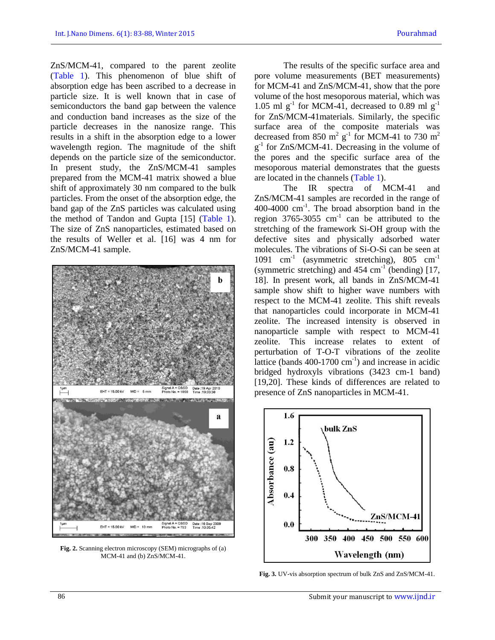ZnS/MCM-41, compared to the parent zeolite (Table 1). This phenomenon of blue shift of absorption edge has been ascribed to a decrease in particle size. It is well known that in case of semiconductors the band gap between the valence and conduction band increases as the size of the particle decreases in the nanosize range. This results in a shift in the absorption edge to a lower wavelength region. The magnitude of the shift depends on the particle size of the semiconductor. In present study, the ZnS/MCM-41 samples prepared from the MCM-41 matrix showed a blue shift of approximately 30 nm compared to the bulk particles. From the onset of the absorption edge, the band gap of the ZnS particles was calculated using the method of Tandon and Gupta [15] (Table 1). The size of ZnS nanoparticles, estimated based on the results of Weller et al. [16] was 4 nm for ZnS/MCM-41 sample.



**Fig. 2.** Scanning electron microscopy (SEM) micrographs of (a) MCM-41 and (b) ZnS/MCM-41.

The results of the specific surface area and pore volume measurements (BET measurements) for MCM-41 and ZnS/MCM-41, show that the pore volume of the host mesoporous material, which was 1.05 ml  $g^{-1}$  for MCM-41, decreased to 0.89 ml  $g^{-1}$ for ZnS/MCM-41materials. Similarly, the specific surface area of the composite materials was decreased from 850  $m^2$   $g^{-1}$  for MCM-41 to 730  $m^2$ g<sup>-1</sup> for ZnS/MCM-41. Decreasing in the volume of the pores and the specific surface area of the mesoporous material demonstrates that the guests are located in the channels (Table 1).

The IR spectra of MCM-41 and ZnS/MCM-41 samples are recorded in the range of 400-4000 cm-1 . The broad absorption band in the region 3765-3055  $cm^{-1}$  can be attributed to the stretching of the framework Si-OH group with the defective sites and physically adsorbed water molecules. The vibrations of Si-O-Si can be seen at 1091 cm<sup>-1</sup> (asymmetric stretching), 805 cm<sup>-1</sup> (symmetric stretching) and  $454 \text{ cm}^{-1}$  (bending) [17, 18]. In present work, all bands in ZnS/MCM-41 sample show shift to higher wave numbers with respect to the MCM-41 zeolite. This shift reveals that nanoparticles could incorporate in MCM-41 zeolite. The increased intensity is observed in nanoparticle sample with respect to MCM-41 zeolite. This increase relates to extent of perturbation of T-O-T vibrations of the zeolite lattice (bands  $400-1700$  cm<sup>-1</sup>) and increase in acidic bridged hydroxyls vibrations (3423 cm-1 band) [19,20]. These kinds of differences are related to presence of ZnS nanoparticles in MCM-41.



**Fig. 3.** UV-vis absorption spectrum of bulk ZnS and ZnS/MCM-41.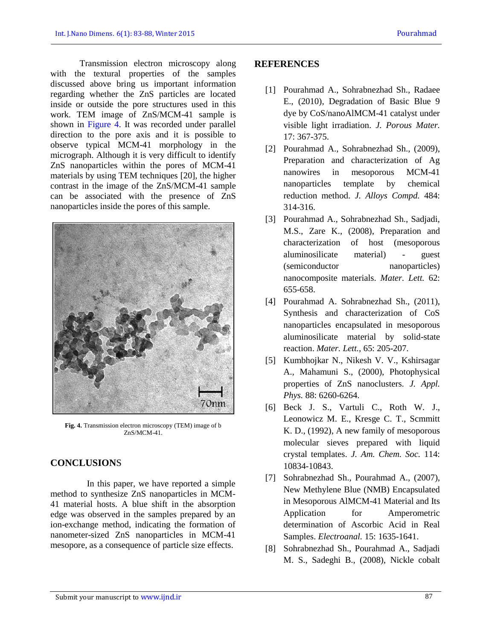Transmission electron microscopy along with the textural properties of the samples discussed above bring us important information regarding whether the ZnS particles are located inside or outside the pore structures used in this work. TEM image of ZnS/MCM-41 sample is shown in Figure 4. It was recorded under parallel direction to the pore axis and it is possible to observe typical MCM-41 morphology in the micrograph. Although it is very difficult to identify ZnS nanoparticles within the pores of MCM-41 materials by using TEM techniques [20], the higher contrast in the image of the ZnS/MCM-41 sample can be associated with the presence of ZnS nanoparticles inside the pores of this sample.



**Fig. 4.** Transmission electron microscopy (TEM) image of b ZnS/MCM-41.

# **CONCLUSION**S

In this paper, we have reported a simple method to synthesize ZnS nanoparticles in MCM-41 material hosts. A blue shift in the absorption edge was observed in the samples prepared by an ion-exchange method, indicating the formation of nanometer-sized ZnS nanoparticles in MCM-41 mesopore, as a consequence of particle size effects.

## **REFERENCES**

- [1] Pourahmad A., Sohrabnezhad Sh., Radaee E., (2010), Degradation of Basic Blue 9 dye by CoS/nanoAlMCM-41 catalyst under visible light irradiation. *J. Porous Mater.* 17: 367-375.
- [2] Pourahmad A., Sohrabnezhad Sh., (2009), Preparation and characterization of Ag nanowires in mesoporous MCM-41 nanoparticles template by chemical reduction method. *J. Alloys Compd.* 484: 314-316.
- [3] Pourahmad A., Sohrabnezhad Sh., Sadjadi, M.S., Zare K., (2008), Preparation and characterization of host (mesoporous aluminosilicate material) - guest (semiconductor nanoparticles) nanocomposite materials. *Mater. Lett.* 62: 655-658.
- [4] Pourahmad A. Sohrabnezhad Sh., (2011), Synthesis and characterization of CoS nanoparticles encapsulated in mesoporous aluminosilicate material by solid-state reaction. *Mater. Lett.*, 65: 205-207.
- [5] Kumbhojkar N., Nikesh V. V., Kshirsagar A., Mahamuni S., (2000), Photophysical properties of ZnS nanoclusters. *J. Appl. Phys.* 88: 6260-6264.
- [6] Beck J. S., Vartuli C., Roth W. J., Leonowicz M. E., Kresge C. T., Scmmitt K. D., (1992), A new family of mesoporous molecular sieves prepared with liquid crystal templates. *J. Am. Chem. Soc.* 114: 10834-10843.
- [7] Sohrabnezhad Sh., Pourahmad A., (2007), New Methylene Blue (NMB) Encapsulated in Mesoporous AlMCM-41 Material and Its Application for Amperometric determination of Ascorbic Acid in Real Samples. *Electroanal.* 15: 1635-1641.
- [8] Sohrabnezhad Sh., Pourahmad A., Sadjadi M. S., Sadeghi B., (2008), Nickle cobalt